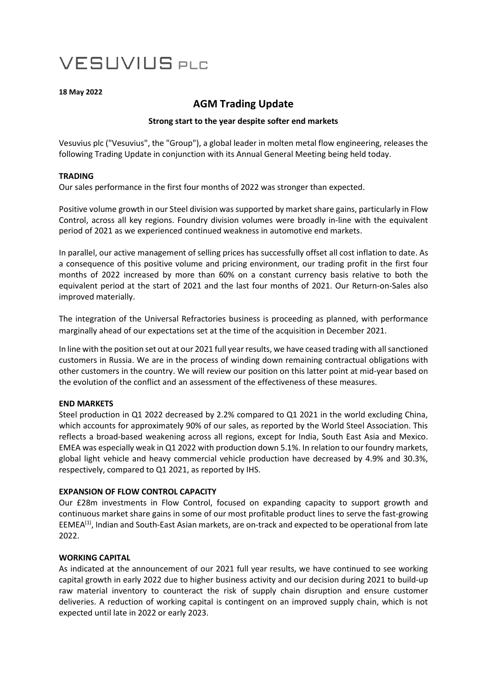# **VESUVIUS PLC**

#### **18 May 2022**

# **AGM Trading Update**

# **Strong start to the year despite softer end markets**

Vesuvius plc ("Vesuvius", the "Group"), a global leader in molten metal flow engineering, releases the following Trading Update in conjunction with its Annual General Meeting being held today.

## **TRADING**

Our sales performance in the first four months of 2022 was stronger than expected.

Positive volume growth in our Steel division was supported by market share gains, particularly in Flow Control, across all key regions. Foundry division volumes were broadly in-line with the equivalent period of 2021 as we experienced continued weakness in automotive end markets.

In parallel, our active management of selling prices has successfully offset all cost inflation to date. As a consequence of this positive volume and pricing environment, our trading profit in the first four months of 2022 increased by more than 60% on a constant currency basis relative to both the equivalent period at the start of 2021 and the last four months of 2021. Our Return-on-Sales also improved materially.

The integration of the Universal Refractories business is proceeding as planned, with performance marginally ahead of our expectations set at the time of the acquisition in December 2021.

In line with the position set out at our 2021 full year results, we have ceased trading with all sanctioned customers in Russia. We are in the process of winding down remaining contractual obligations with other customers in the country. We will review our position on this latter point at mid-year based on the evolution of the conflict and an assessment of the effectiveness of these measures.

## **END MARKETS**

Steel production in Q1 2022 decreased by 2.2% compared to Q1 2021 in the world excluding China, which accounts for approximately 90% of our sales, as reported by the World Steel Association. This reflects a broad-based weakening across all regions, except for India, South East Asia and Mexico. EMEA was especially weak in Q1 2022 with production down 5.1%. In relation to our foundry markets, global light vehicle and heavy commercial vehicle production have decreased by 4.9% and 30.3%, respectively, compared to Q1 2021, as reported by IHS.

## **EXPANSION OF FLOW CONTROL CAPACITY**

Our £28m investments in Flow Control, focused on expanding capacity to support growth and continuous market share gains in some of our most profitable product lines to serve the fast-growing EEMEA(1), Indian and South-East Asian markets, are on-track and expected to be operational from late 2022.

## **WORKING CAPITAL**

As indicated at the announcement of our 2021 full year results, we have continued to see working capital growth in early 2022 due to higher business activity and our decision during 2021 to build-up raw material inventory to counteract the risk of supply chain disruption and ensure customer deliveries. A reduction of working capital is contingent on an improved supply chain, which is not expected until late in 2022 or early 2023.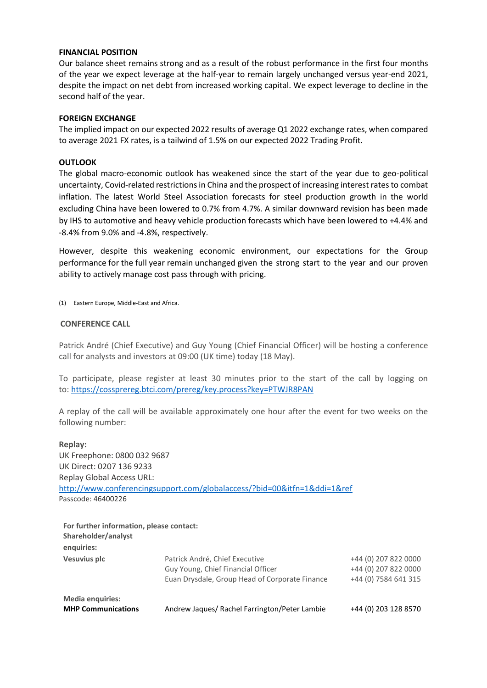#### **FINANCIAL POSITION**

Our balance sheet remains strong and as a result of the robust performance in the first four months of the year we expect leverage at the half-year to remain largely unchanged versus year-end 2021, despite the impact on net debt from increased working capital. We expect leverage to decline in the second half of the year.

#### **FOREIGN EXCHANGE**

The implied impact on our expected 2022 results of average Q1 2022 exchange rates, when compared to average 2021 FX rates, is a tailwind of 1.5% on our expected 2022 Trading Profit.

#### **OUTLOOK**

The global macro-economic outlook has weakened since the start of the year due to geo-political uncertainty, Covid-related restrictions in China and the prospect of increasing interest rates to combat inflation. The latest World Steel Association forecasts for steel production growth in the world excluding China have been lowered to 0.7% from 4.7%. A similar downward revision has been made by IHS to automotive and heavy vehicle production forecasts which have been lowered to +4.4% and -8.4% from 9.0% and -4.8%, respectively.

However, despite this weakening economic environment, our expectations for the Group performance for the full year remain unchanged given the strong start to the year and our proven ability to actively manage cost pass through with pricing.

(1) Eastern Europe, Middle-East and Africa.

#### **CONFERENCE CALL**

Patrick André (Chief Executive) and Guy Young (Chief Financial Officer) will be hosting a conference call for analysts and investors at 09:00 (UK time) today (18 May).

To participate, please register at least 30 minutes prior to the start of the call by logging on to: [https://cossprereg.btci.com/prereg/key.process?key=PTWJR8PAN](https://nam02.safelinks.protection.outlook.com/?url=https%3A%2F%2Fcossprereg.btci.com%2Fprereg%2Fkey.process%3Fkey%3DPTWJR8PAN&data=05%7C01%7Ceuan.drysdale%40vesuvius.com%7C0f961073e3e54701adae08da374b89fb%7C9316d1d247f84c56924f2ccb9bde9ac9%7C0%7C0%7C637883094958404887%7CUnknown%7CTWFpbGZsb3d8eyJWIjoiMC4wLjAwMDAiLCJQIjoiV2luMzIiLCJBTiI6Ik1haWwiLCJXVCI6Mn0%3D%7C3000%7C%7C%7C&sdata=5RR5e5l286KwDrbJH2zTtWsWGwd17bm9TDgeXAB8hO0%3D&reserved=0)

A replay of the call will be available approximately one hour after the event for two weeks on the following number:

**Replay:** UK Freephone: 0800 032 9687 UK Direct: 0207 136 9233 Replay Global Access URL: <http://www.conferencingsupport.com/globalaccess/?bid=00&itfn=1&ddi=1&ref> Passcode: 46400226

| For further information, please contact:<br>Shareholder/analyst |                                                                                                                        |                                                                      |
|-----------------------------------------------------------------|------------------------------------------------------------------------------------------------------------------------|----------------------------------------------------------------------|
| enquiries:                                                      |                                                                                                                        |                                                                      |
| Vesuvius plc                                                    | Patrick André, Chief Executive<br>Guy Young, Chief Financial Officer<br>Euan Drysdale, Group Head of Corporate Finance | +44 (0) 207 822 0000<br>+44 (0) 207 822 0000<br>+44 (0) 7584 641 315 |
| <b>Media enquiries:</b><br><b>MHP Communications</b>            | Andrew Jaques/ Rachel Farrington/Peter Lambie                                                                          | +44 (0) 203 128 8570                                                 |